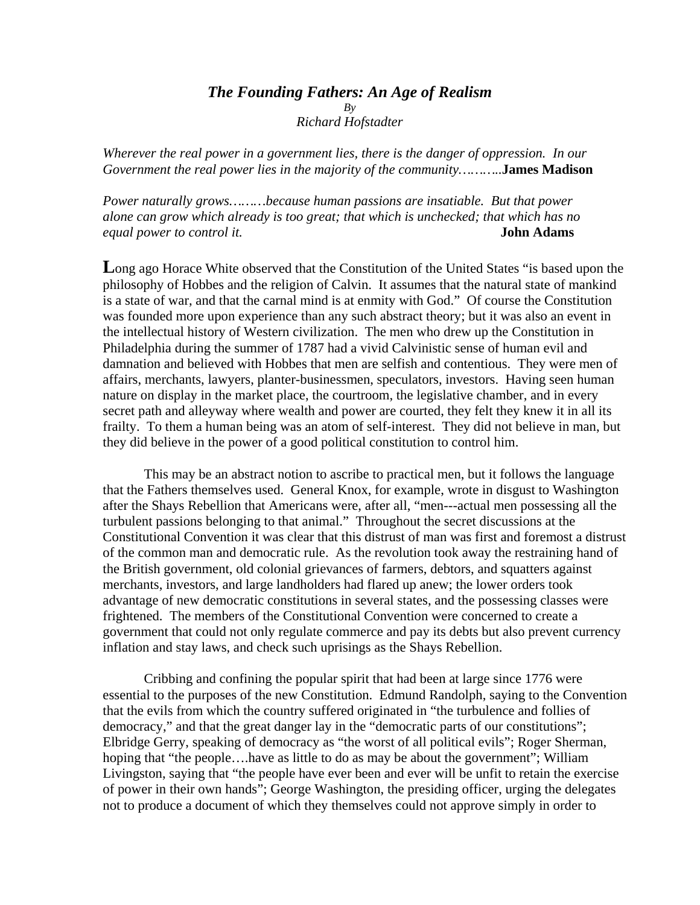## *The Founding Fathers: An Age of Realism By Richard Hofstadter*

*Wherever the real power in a government lies, there is the danger of oppression. In our Government the real power lies in the majority of the community………..***James Madison** 

*Power naturally grows………because human passions are insatiable. But that power alone can grow which already is too great; that which is unchecked; that which has no equal power to control it.* **John Adams** 

Long ago Horace White observed that the Constitution of the United States "is based upon the philosophy of Hobbes and the religion of Calvin. It assumes that the natural state of mankind is a state of war, and that the carnal mind is at enmity with God." Of course the Constitution was founded more upon experience than any such abstract theory; but it was also an event in the intellectual history of Western civilization. The men who drew up the Constitution in Philadelphia during the summer of 1787 had a vivid Calvinistic sense of human evil and damnation and believed with Hobbes that men are selfish and contentious. They were men of affairs, merchants, lawyers, planter-businessmen, speculators, investors. Having seen human nature on display in the market place, the courtroom, the legislative chamber, and in every secret path and alleyway where wealth and power are courted, they felt they knew it in all its frailty. To them a human being was an atom of self-interest. They did not believe in man, but they did believe in the power of a good political constitution to control him.

 This may be an abstract notion to ascribe to practical men, but it follows the language that the Fathers themselves used. General Knox, for example, wrote in disgust to Washington after the Shays Rebellion that Americans were, after all, "men---actual men possessing all the turbulent passions belonging to that animal." Throughout the secret discussions at the Constitutional Convention it was clear that this distrust of man was first and foremost a distrust of the common man and democratic rule. As the revolution took away the restraining hand of the British government, old colonial grievances of farmers, debtors, and squatters against merchants, investors, and large landholders had flared up anew; the lower orders took advantage of new democratic constitutions in several states, and the possessing classes were frightened. The members of the Constitutional Convention were concerned to create a government that could not only regulate commerce and pay its debts but also prevent currency inflation and stay laws, and check such uprisings as the Shays Rebellion.

 Cribbing and confining the popular spirit that had been at large since 1776 were essential to the purposes of the new Constitution. Edmund Randolph, saying to the Convention that the evils from which the country suffered originated in "the turbulence and follies of democracy," and that the great danger lay in the "democratic parts of our constitutions"; Elbridge Gerry, speaking of democracy as "the worst of all political evils"; Roger Sherman, hoping that "the people....have as little to do as may be about the government"; William Livingston, saying that "the people have ever been and ever will be unfit to retain the exercise of power in their own hands"; George Washington, the presiding officer, urging the delegates not to produce a document of which they themselves could not approve simply in order to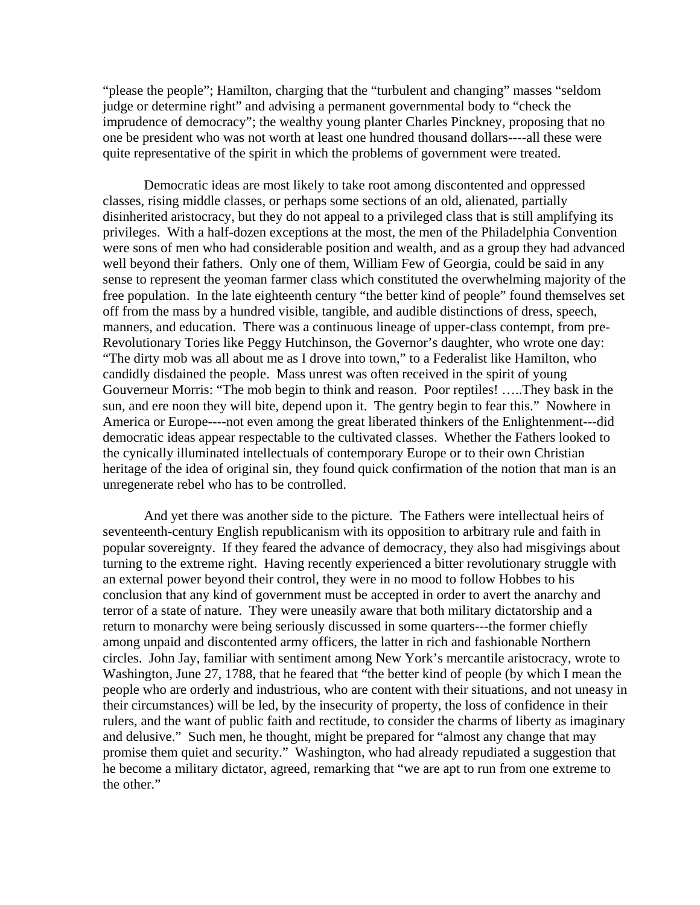"please the people"; Hamilton, charging that the "turbulent and changing" masses "seldom judge or determine right" and advising a permanent governmental body to "check the imprudence of democracy"; the wealthy young planter Charles Pinckney, proposing that no one be president who was not worth at least one hundred thousand dollars----all these were quite representative of the spirit in which the problems of government were treated.

 Democratic ideas are most likely to take root among discontented and oppressed classes, rising middle classes, or perhaps some sections of an old, alienated, partially disinherited aristocracy, but they do not appeal to a privileged class that is still amplifying its privileges. With a half-dozen exceptions at the most, the men of the Philadelphia Convention were sons of men who had considerable position and wealth, and as a group they had advanced well beyond their fathers. Only one of them, William Few of Georgia, could be said in any sense to represent the yeoman farmer class which constituted the overwhelming majority of the free population. In the late eighteenth century "the better kind of people" found themselves set off from the mass by a hundred visible, tangible, and audible distinctions of dress, speech, manners, and education. There was a continuous lineage of upper-class contempt, from pre-Revolutionary Tories like Peggy Hutchinson, the Governor's daughter, who wrote one day: "The dirty mob was all about me as I drove into town," to a Federalist like Hamilton, who candidly disdained the people. Mass unrest was often received in the spirit of young Gouverneur Morris: "The mob begin to think and reason. Poor reptiles! …..They bask in the sun, and ere noon they will bite, depend upon it. The gentry begin to fear this." Nowhere in America or Europe----not even among the great liberated thinkers of the Enlightenment---did democratic ideas appear respectable to the cultivated classes. Whether the Fathers looked to the cynically illuminated intellectuals of contemporary Europe or to their own Christian heritage of the idea of original sin, they found quick confirmation of the notion that man is an unregenerate rebel who has to be controlled.

 And yet there was another side to the picture. The Fathers were intellectual heirs of seventeenth-century English republicanism with its opposition to arbitrary rule and faith in popular sovereignty. If they feared the advance of democracy, they also had misgivings about turning to the extreme right. Having recently experienced a bitter revolutionary struggle with an external power beyond their control, they were in no mood to follow Hobbes to his conclusion that any kind of government must be accepted in order to avert the anarchy and terror of a state of nature. They were uneasily aware that both military dictatorship and a return to monarchy were being seriously discussed in some quarters---the former chiefly among unpaid and discontented army officers, the latter in rich and fashionable Northern circles. John Jay, familiar with sentiment among New York's mercantile aristocracy, wrote to Washington, June 27, 1788, that he feared that "the better kind of people (by which I mean the people who are orderly and industrious, who are content with their situations, and not uneasy in their circumstances) will be led, by the insecurity of property, the loss of confidence in their rulers, and the want of public faith and rectitude, to consider the charms of liberty as imaginary and delusive." Such men, he thought, might be prepared for "almost any change that may promise them quiet and security." Washington, who had already repudiated a suggestion that he become a military dictator, agreed, remarking that "we are apt to run from one extreme to the other."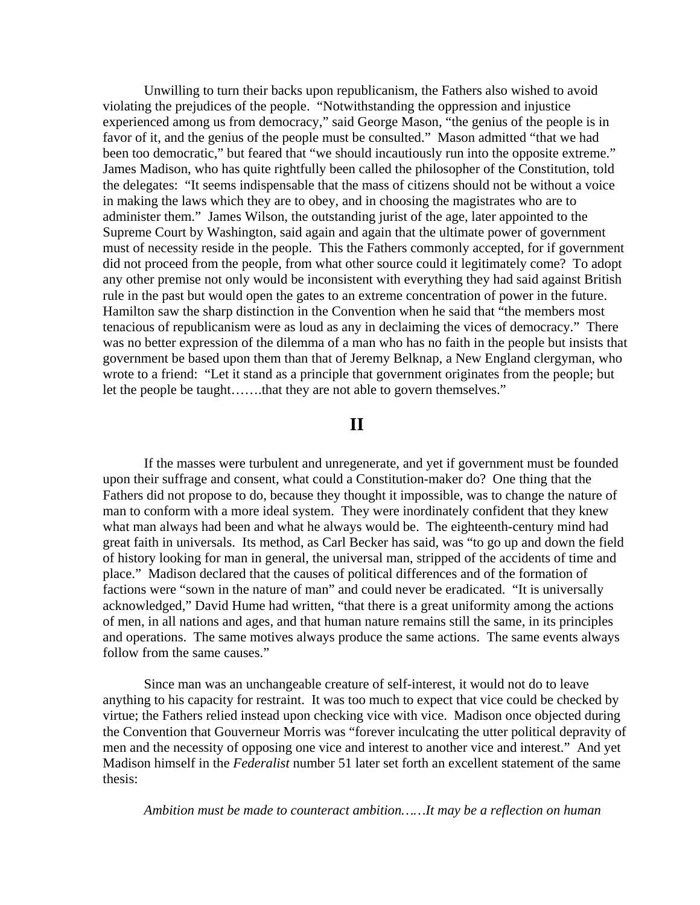Unwilling to turn their backs upon republicanism, the Fathers also wished to avoid violating the prejudices of the people. "Notwithstanding the oppression and injustice experienced among us from democracy," said George Mason, "the genius of the people is in favor of it, and the genius of the people must be consulted." Mason admitted "that we had been too democratic," but feared that "we should incautiously run into the opposite extreme." James Madison, who has quite rightfully been called the philosopher of the Constitution, told the delegates: "It seems indispensable that the mass of citizens should not be without a voice in making the laws which they are to obey, and in choosing the magistrates who are to administer them." James Wilson, the outstanding jurist of the age, later appointed to the Supreme Court by Washington, said again and again that the ultimate power of government must of necessity reside in the people. This the Fathers commonly accepted, for if government did not proceed from the people, from what other source could it legitimately come? To adopt any other premise not only would be inconsistent with everything they had said against British rule in the past but would open the gates to an extreme concentration of power in the future. Hamilton saw the sharp distinction in the Convention when he said that "the members most tenacious of republicanism were as loud as any in declaiming the vices of democracy." There was no better expression of the dilemma of a man who has no faith in the people but insists that government be based upon them than that of Jeremy Belknap, a New England clergyman, who wrote to a friend: "Let it stand as a principle that government originates from the people; but let the people be taught…….that they are not able to govern themselves."

## **II**

 If the masses were turbulent and unregenerate, and yet if government must be founded upon their suffrage and consent, what could a Constitution-maker do? One thing that the Fathers did not propose to do, because they thought it impossible, was to change the nature of man to conform with a more ideal system. They were inordinately confident that they knew what man always had been and what he always would be. The eighteenth-century mind had great faith in universals. Its method, as Carl Becker has said, was "to go up and down the field of history looking for man in general, the universal man, stripped of the accidents of time and place." Madison declared that the causes of political differences and of the formation of factions were "sown in the nature of man" and could never be eradicated. "It is universally acknowledged," David Hume had written, "that there is a great uniformity among the actions of men, in all nations and ages, and that human nature remains still the same, in its principles and operations. The same motives always produce the same actions. The same events always follow from the same causes."

 Since man was an unchangeable creature of self-interest, it would not do to leave anything to his capacity for restraint. It was too much to expect that vice could be checked by virtue; the Fathers relied instead upon checking vice with vice. Madison once objected during the Convention that Gouverneur Morris was "forever inculcating the utter political depravity of men and the necessity of opposing one vice and interest to another vice and interest." And yet Madison himself in the *Federalist* number 51 later set forth an excellent statement of the same thesis:

*Ambition must be made to counteract ambition……It may be a reflection on human*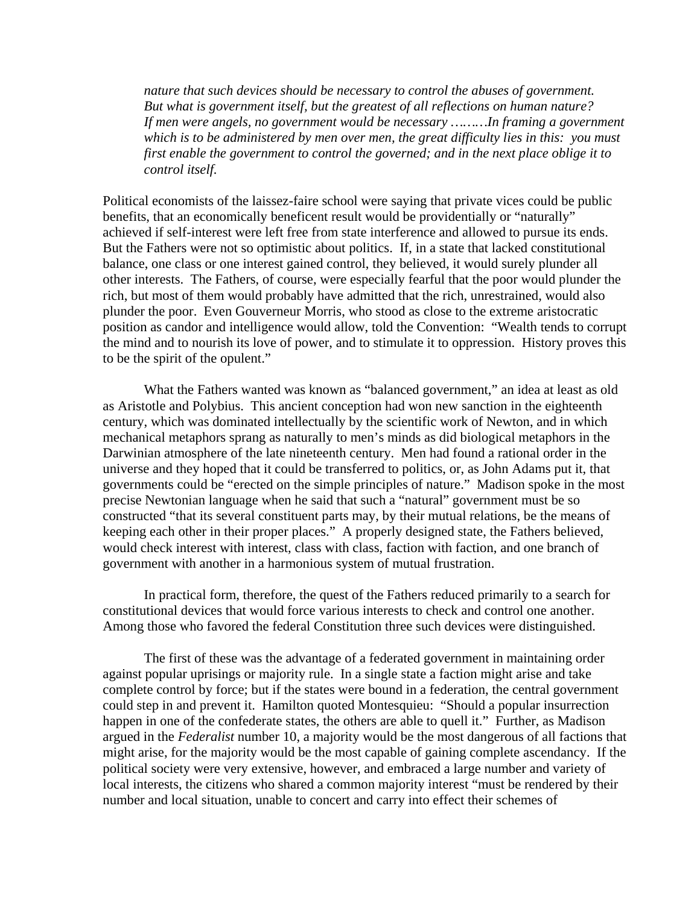*nature that such devices should be necessary to control the abuses of government. But what is government itself, but the greatest of all reflections on human nature? If men were angels, no government would be necessary ………In framing a government which is to be administered by men over men, the great difficulty lies in this: you must first enable the government to control the governed; and in the next place oblige it to control itself.* 

Political economists of the laissez-faire school were saying that private vices could be public benefits, that an economically beneficent result would be providentially or "naturally" achieved if self-interest were left free from state interference and allowed to pursue its ends. But the Fathers were not so optimistic about politics. If, in a state that lacked constitutional balance, one class or one interest gained control, they believed, it would surely plunder all other interests. The Fathers, of course, were especially fearful that the poor would plunder the rich, but most of them would probably have admitted that the rich, unrestrained, would also plunder the poor. Even Gouverneur Morris, who stood as close to the extreme aristocratic position as candor and intelligence would allow, told the Convention: "Wealth tends to corrupt the mind and to nourish its love of power, and to stimulate it to oppression. History proves this to be the spirit of the opulent."

 What the Fathers wanted was known as "balanced government," an idea at least as old as Aristotle and Polybius. This ancient conception had won new sanction in the eighteenth century, which was dominated intellectually by the scientific work of Newton, and in which mechanical metaphors sprang as naturally to men's minds as did biological metaphors in the Darwinian atmosphere of the late nineteenth century. Men had found a rational order in the universe and they hoped that it could be transferred to politics, or, as John Adams put it, that governments could be "erected on the simple principles of nature." Madison spoke in the most precise Newtonian language when he said that such a "natural" government must be so constructed "that its several constituent parts may, by their mutual relations, be the means of keeping each other in their proper places." A properly designed state, the Fathers believed, would check interest with interest, class with class, faction with faction, and one branch of government with another in a harmonious system of mutual frustration.

 In practical form, therefore, the quest of the Fathers reduced primarily to a search for constitutional devices that would force various interests to check and control one another. Among those who favored the federal Constitution three such devices were distinguished.

 The first of these was the advantage of a federated government in maintaining order against popular uprisings or majority rule. In a single state a faction might arise and take complete control by force; but if the states were bound in a federation, the central government could step in and prevent it. Hamilton quoted Montesquieu: "Should a popular insurrection happen in one of the confederate states, the others are able to quell it." Further, as Madison argued in the *Federalist* number 10, a majority would be the most dangerous of all factions that might arise, for the majority would be the most capable of gaining complete ascendancy. If the political society were very extensive, however, and embraced a large number and variety of local interests, the citizens who shared a common majority interest "must be rendered by their number and local situation, unable to concert and carry into effect their schemes of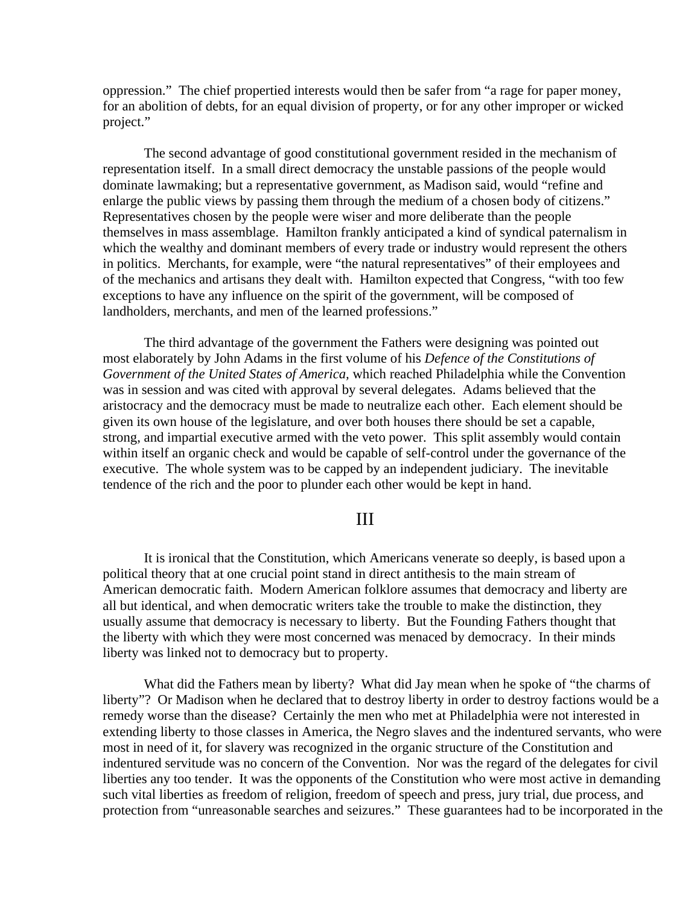oppression." The chief propertied interests would then be safer from "a rage for paper money, for an abolition of debts, for an equal division of property, or for any other improper or wicked project."

 The second advantage of good constitutional government resided in the mechanism of representation itself. In a small direct democracy the unstable passions of the people would dominate lawmaking; but a representative government, as Madison said, would "refine and enlarge the public views by passing them through the medium of a chosen body of citizens." Representatives chosen by the people were wiser and more deliberate than the people themselves in mass assemblage. Hamilton frankly anticipated a kind of syndical paternalism in which the wealthy and dominant members of every trade or industry would represent the others in politics. Merchants, for example, were "the natural representatives" of their employees and of the mechanics and artisans they dealt with. Hamilton expected that Congress, "with too few exceptions to have any influence on the spirit of the government, will be composed of landholders, merchants, and men of the learned professions."

 The third advantage of the government the Fathers were designing was pointed out most elaborately by John Adams in the first volume of his *Defence of the Constitutions of Government of the United States of America,* which reached Philadelphia while the Convention was in session and was cited with approval by several delegates. Adams believed that the aristocracy and the democracy must be made to neutralize each other. Each element should be given its own house of the legislature, and over both houses there should be set a capable, strong, and impartial executive armed with the veto power. This split assembly would contain within itself an organic check and would be capable of self-control under the governance of the executive. The whole system was to be capped by an independent judiciary. The inevitable tendence of the rich and the poor to plunder each other would be kept in hand.

## III

 It is ironical that the Constitution, which Americans venerate so deeply, is based upon a political theory that at one crucial point stand in direct antithesis to the main stream of American democratic faith. Modern American folklore assumes that democracy and liberty are all but identical, and when democratic writers take the trouble to make the distinction, they usually assume that democracy is necessary to liberty. But the Founding Fathers thought that the liberty with which they were most concerned was menaced by democracy. In their minds liberty was linked not to democracy but to property.

 What did the Fathers mean by liberty? What did Jay mean when he spoke of "the charms of liberty"? Or Madison when he declared that to destroy liberty in order to destroy factions would be a remedy worse than the disease? Certainly the men who met at Philadelphia were not interested in extending liberty to those classes in America, the Negro slaves and the indentured servants, who were most in need of it, for slavery was recognized in the organic structure of the Constitution and indentured servitude was no concern of the Convention. Nor was the regard of the delegates for civil liberties any too tender. It was the opponents of the Constitution who were most active in demanding such vital liberties as freedom of religion, freedom of speech and press, jury trial, due process, and protection from "unreasonable searches and seizures." These guarantees had to be incorporated in the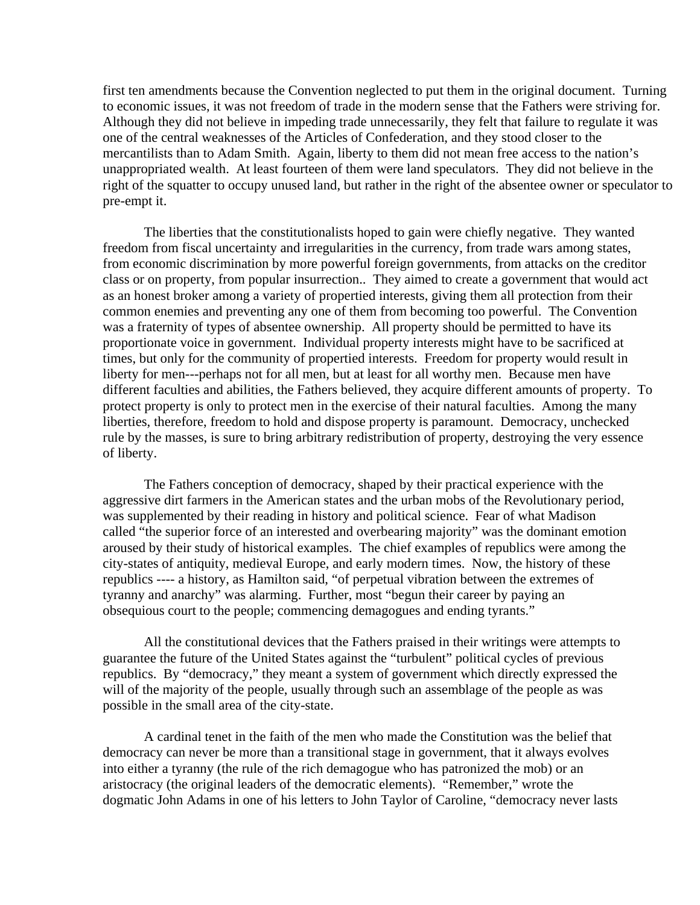first ten amendments because the Convention neglected to put them in the original document. Turning to economic issues, it was not freedom of trade in the modern sense that the Fathers were striving for. Although they did not believe in impeding trade unnecessarily, they felt that failure to regulate it was one of the central weaknesses of the Articles of Confederation, and they stood closer to the mercantilists than to Adam Smith. Again, liberty to them did not mean free access to the nation's unappropriated wealth. At least fourteen of them were land speculators. They did not believe in the right of the squatter to occupy unused land, but rather in the right of the absentee owner or speculator to pre-empt it.

 The liberties that the constitutionalists hoped to gain were chiefly negative. They wanted freedom from fiscal uncertainty and irregularities in the currency, from trade wars among states, from economic discrimination by more powerful foreign governments, from attacks on the creditor class or on property, from popular insurrection.. They aimed to create a government that would act as an honest broker among a variety of propertied interests, giving them all protection from their common enemies and preventing any one of them from becoming too powerful. The Convention was a fraternity of types of absentee ownership. All property should be permitted to have its proportionate voice in government. Individual property interests might have to be sacrificed at times, but only for the community of propertied interests. Freedom for property would result in liberty for men---perhaps not for all men, but at least for all worthy men. Because men have different faculties and abilities, the Fathers believed, they acquire different amounts of property. To protect property is only to protect men in the exercise of their natural faculties. Among the many liberties, therefore, freedom to hold and dispose property is paramount. Democracy, unchecked rule by the masses, is sure to bring arbitrary redistribution of property, destroying the very essence of liberty.

 The Fathers conception of democracy, shaped by their practical experience with the aggressive dirt farmers in the American states and the urban mobs of the Revolutionary period, was supplemented by their reading in history and political science. Fear of what Madison called "the superior force of an interested and overbearing majority" was the dominant emotion aroused by their study of historical examples. The chief examples of republics were among the city-states of antiquity, medieval Europe, and early modern times. Now, the history of these republics ---- a history, as Hamilton said, "of perpetual vibration between the extremes of tyranny and anarchy" was alarming. Further, most "begun their career by paying an obsequious court to the people; commencing demagogues and ending tyrants."

 All the constitutional devices that the Fathers praised in their writings were attempts to guarantee the future of the United States against the "turbulent" political cycles of previous republics. By "democracy," they meant a system of government which directly expressed the will of the majority of the people, usually through such an assemblage of the people as was possible in the small area of the city-state.

 A cardinal tenet in the faith of the men who made the Constitution was the belief that democracy can never be more than a transitional stage in government, that it always evolves into either a tyranny (the rule of the rich demagogue who has patronized the mob) or an aristocracy (the original leaders of the democratic elements). "Remember," wrote the dogmatic John Adams in one of his letters to John Taylor of Caroline, "democracy never lasts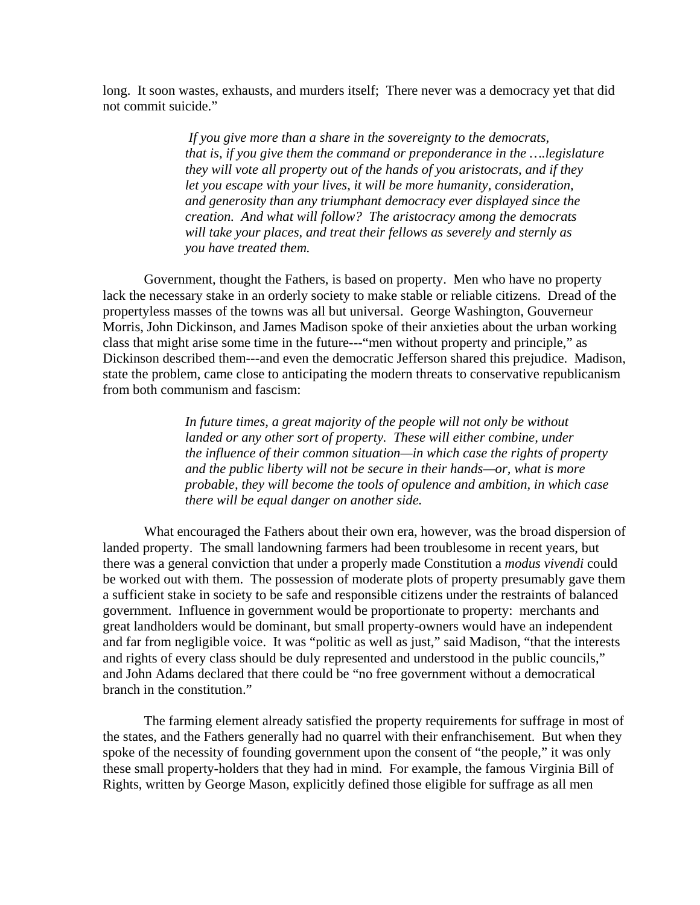long. It soon wastes, exhausts, and murders itself; There never was a democracy yet that did not commit suicide."

> *If you give more than a share in the sovereignty to the democrats, that is, if you give them the command or preponderance in the ….legislature they will vote all property out of the hands of you aristocrats, and if they let you escape with your lives, it will be more humanity, consideration, and generosity than any triumphant democracy ever displayed since the creation. And what will follow? The aristocracy among the democrats will take your places, and treat their fellows as severely and sternly as you have treated them.*

 Government, thought the Fathers, is based on property. Men who have no property lack the necessary stake in an orderly society to make stable or reliable citizens. Dread of the propertyless masses of the towns was all but universal. George Washington, Gouverneur Morris, John Dickinson, and James Madison spoke of their anxieties about the urban working class that might arise some time in the future---"men without property and principle," as Dickinson described them---and even the democratic Jefferson shared this prejudice. Madison, state the problem, came close to anticipating the modern threats to conservative republicanism from both communism and fascism:

> In future times, a great majority of the people will not only be without  *landed or any other sort of property. These will either combine, under the influence of their common situation—in which case the rights of property and the public liberty will not be secure in their hands—or, what is more probable, they will become the tools of opulence and ambition, in which case there will be equal danger on another side.*

 What encouraged the Fathers about their own era, however, was the broad dispersion of landed property. The small landowning farmers had been troublesome in recent years, but there was a general conviction that under a properly made Constitution a *modus vivendi* could be worked out with them. The possession of moderate plots of property presumably gave them a sufficient stake in society to be safe and responsible citizens under the restraints of balanced government. Influence in government would be proportionate to property: merchants and great landholders would be dominant, but small property-owners would have an independent and far from negligible voice. It was "politic as well as just," said Madison, "that the interests and rights of every class should be duly represented and understood in the public councils," and John Adams declared that there could be "no free government without a democratical branch in the constitution."

 The farming element already satisfied the property requirements for suffrage in most of the states, and the Fathers generally had no quarrel with their enfranchisement. But when they spoke of the necessity of founding government upon the consent of "the people," it was only these small property-holders that they had in mind. For example, the famous Virginia Bill of Rights, written by George Mason, explicitly defined those eligible for suffrage as all men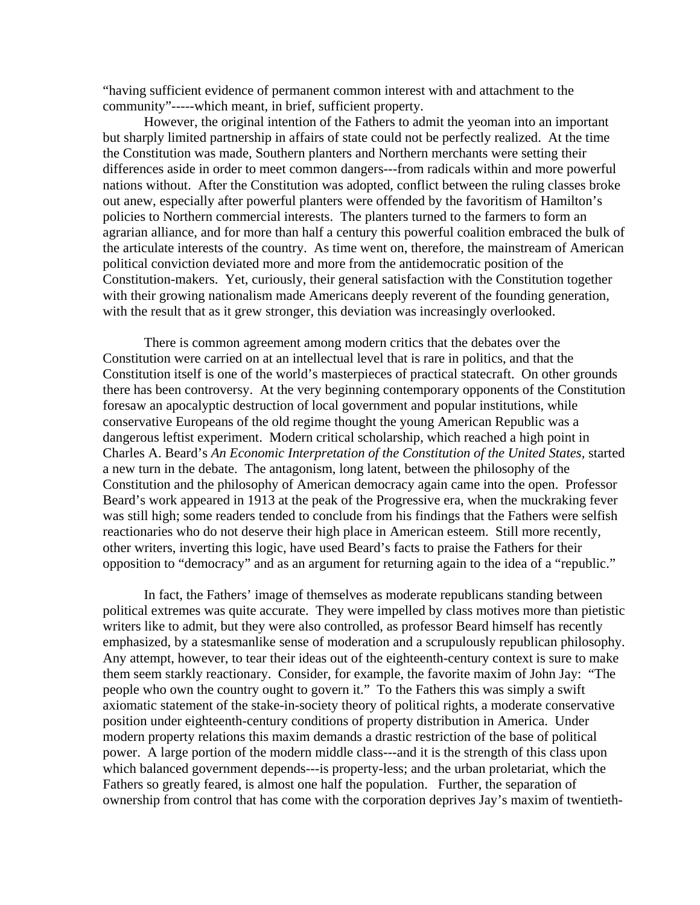"having sufficient evidence of permanent common interest with and attachment to the community"-----which meant, in brief, sufficient property.

 However, the original intention of the Fathers to admit the yeoman into an important but sharply limited partnership in affairs of state could not be perfectly realized. At the time the Constitution was made, Southern planters and Northern merchants were setting their differences aside in order to meet common dangers---from radicals within and more powerful nations without. After the Constitution was adopted, conflict between the ruling classes broke out anew, especially after powerful planters were offended by the favoritism of Hamilton's policies to Northern commercial interests. The planters turned to the farmers to form an agrarian alliance, and for more than half a century this powerful coalition embraced the bulk of the articulate interests of the country. As time went on, therefore, the mainstream of American political conviction deviated more and more from the antidemocratic position of the Constitution-makers. Yet, curiously, their general satisfaction with the Constitution together with their growing nationalism made Americans deeply reverent of the founding generation, with the result that as it grew stronger, this deviation was increasingly overlooked.

 There is common agreement among modern critics that the debates over the Constitution were carried on at an intellectual level that is rare in politics, and that the Constitution itself is one of the world's masterpieces of practical statecraft. On other grounds there has been controversy. At the very beginning contemporary opponents of the Constitution foresaw an apocalyptic destruction of local government and popular institutions, while conservative Europeans of the old regime thought the young American Republic was a dangerous leftist experiment. Modern critical scholarship, which reached a high point in Charles A. Beard's *An Economic Interpretation of the Constitution of the United States,* started a new turn in the debate. The antagonism, long latent, between the philosophy of the Constitution and the philosophy of American democracy again came into the open. Professor Beard's work appeared in 1913 at the peak of the Progressive era, when the muckraking fever was still high; some readers tended to conclude from his findings that the Fathers were selfish reactionaries who do not deserve their high place in American esteem. Still more recently, other writers, inverting this logic, have used Beard's facts to praise the Fathers for their opposition to "democracy" and as an argument for returning again to the idea of a "republic."

 In fact, the Fathers' image of themselves as moderate republicans standing between political extremes was quite accurate. They were impelled by class motives more than pietistic writers like to admit, but they were also controlled, as professor Beard himself has recently emphasized, by a statesmanlike sense of moderation and a scrupulously republican philosophy. Any attempt, however, to tear their ideas out of the eighteenth-century context is sure to make them seem starkly reactionary. Consider, for example, the favorite maxim of John Jay: "The people who own the country ought to govern it." To the Fathers this was simply a swift axiomatic statement of the stake-in-society theory of political rights, a moderate conservative position under eighteenth-century conditions of property distribution in America. Under modern property relations this maxim demands a drastic restriction of the base of political power. A large portion of the modern middle class---and it is the strength of this class upon which balanced government depends---is property-less; and the urban proletariat, which the Fathers so greatly feared, is almost one half the population. Further, the separation of ownership from control that has come with the corporation deprives Jay's maxim of twentieth